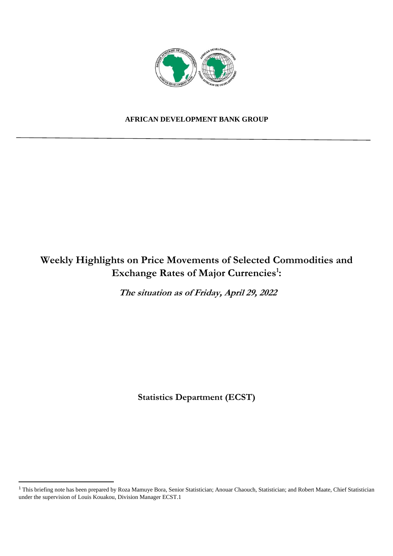

## **AFRICAN DEVELOPMENT BANK GROUP**

# **Weekly Highlights on Price Movements of Selected Commodities and Exchange Rates of Major Currencies<sup>1</sup> :**

**The situation as of Friday, April 29, 2022** 

**Statistics Department (ECST)** 

<sup>&</sup>lt;sup>1</sup> This briefing note has been prepared by Roza Mamuye Bora, Senior Statistician; Anouar Chaouch, Statistician; and Robert Maate, Chief Statistician under the supervision of Louis Kouakou, Division Manager ECST.1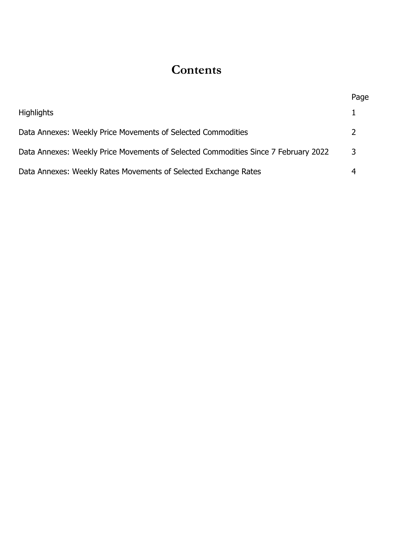# **Contents**

|                                                                                    | Page          |
|------------------------------------------------------------------------------------|---------------|
| <b>Highlights</b>                                                                  |               |
| Data Annexes: Weekly Price Movements of Selected Commodities                       | $\mathcal{L}$ |
| Data Annexes: Weekly Price Movements of Selected Commodities Since 7 February 2022 | 3             |
| Data Annexes: Weekly Rates Movements of Selected Exchange Rates                    |               |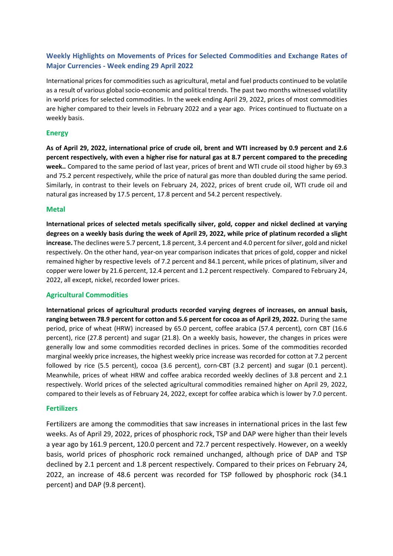## **Weekly Highlights on Movements of Prices for Selected Commodities and Exchange Rates of Major Currencies - Week ending 29 April 2022**

International prices for commodities such as agricultural, metal and fuel products continued to be volatile as a result of various global socio-economic and political trends. The past two months witnessed volatility in world prices for selected commodities. In the week ending April 29, 2022, prices of most commodities are higher compared to their levels in February 2022 and a year ago. Prices continued to fluctuate on a weekly basis.

#### **Energy**

**As of April 29, 2022, international price of crude oil, brent and WTI increased by 0.9 percent and 2.6 percent respectively, with even a higher rise for natural gas at 8.7 percent compared to the preceding week..** Compared to the same period of last year, prices of brent and WTI crude oil stood higher by 69.3 and 75.2 percent respectively, while the price of natural gas more than doubled during the same period. Similarly, in contrast to their levels on February 24, 2022, prices of brent crude oil, WTI crude oil and natural gas increased by 17.5 percent, 17.8 percent and 54.2 percent respectively.

#### **Metal**

**International prices of selected metals specifically silver, gold, copper and nickel declined at varying degrees on a weekly basis during the week of April 29, 2022, while price of platinum recorded a slight increase.** The declines were 5.7 percent, 1.8 percent, 3.4 percent and 4.0 percent for silver, gold and nickel respectively. On the other hand, year-on year comparison indicates that prices of gold, copper and nickel remained higher by respective levels of 7.2 percent and 84.1 percent, while prices of platinum, silver and copper were lower by 21.6 percent, 12.4 percent and 1.2 percent respectively. Compared to February 24, 2022, all except, nickel, recorded lower prices.

#### **Agricultural Commodities**

**International prices of agricultural products recorded varying degrees of increases, on annual basis, ranging between 78.9 percent for cotton and 5.6 percent for cocoa as of April 29, 2022.** During the same period, price of wheat (HRW) increased by 65.0 percent, coffee arabica (57.4 percent), corn CBT (16.6 percent), rice (27.8 percent) and sugar (21.8). On a weekly basis, however, the changes in prices were generally low and some commodities recorded declines in prices. Some of the commodities recorded marginal weekly price increases, the highest weekly price increase was recorded for cotton at 7.2 percent followed by rice (5.5 percent), cocoa (3.6 percent), corn-CBT (3.2 percent) and sugar (0.1 percent). Meanwhile, prices of wheat HRW and coffee arabica recorded weekly declines of 3.8 percent and 2.1 respectively. World prices of the selected agricultural commodities remained higher on April 29, 2022, compared to their levels as of February 24, 2022, except for coffee arabica which is lower by 7.0 percent.

#### **Fertilizers**

Fertilizers are among the commodities that saw increases in international prices in the last few weeks. As of April 29, 2022, prices of phosphoric rock, TSP and DAP were higher than their levels a year ago by 161.9 percent, 120.0 percent and 72.7 percent respectively. However, on a weekly basis, world prices of phosphoric rock remained unchanged, although price of DAP and TSP declined by 2.1 percent and 1.8 percent respectively. Compared to their prices on February 24, 2022, an increase of 48.6 percent was recorded for TSP followed by phosphoric rock (34.1 percent) and DAP (9.8 percent).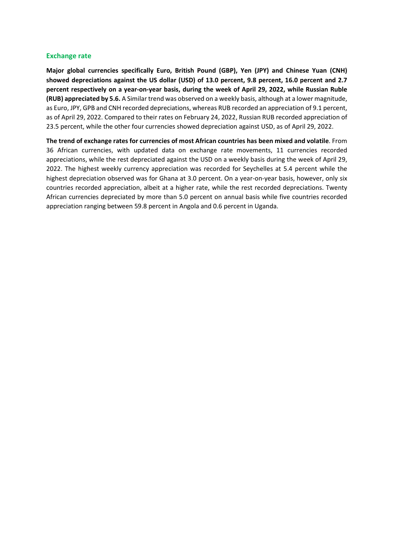#### **Exchange rate**

**Major global currencies specifically Euro, British Pound (GBP), Yen (JPY) and Chinese Yuan (CNH) showed depreciations against the US dollar (USD) of 13.0 percent, 9.8 percent, 16.0 percent and 2.7 percent respectively on a year-on-year basis, during the week of April 29, 2022, while Russian Ruble (RUB) appreciated by 5.6.** A Similar trend was observed on a weekly basis, although at a lower magnitude, as Euro, JPY, GPB and CNH recorded depreciations, whereas RUB recorded an appreciation of 9.1 percent, as of April 29, 2022. Compared to their rates on February 24, 2022, Russian RUB recorded appreciation of 23.5 percent, while the other four currencies showed depreciation against USD, as of April 29, 2022.

**The trend of exchange rates for currencies of most African countries has been mixed and volatile**. From 36 African currencies, with updated data on exchange rate movements, 11 currencies recorded appreciations, while the rest depreciated against the USD on a weekly basis during the week of April 29, 2022. The highest weekly currency appreciation was recorded for Seychelles at 5.4 percent while the highest depreciation observed was for Ghana at 3.0 percent. On a year-on-year basis, however, only six countries recorded appreciation, albeit at a higher rate, while the rest recorded depreciations. Twenty African currencies depreciated by more than 5.0 percent on annual basis while five countries recorded appreciation ranging between 59.8 percent in Angola and 0.6 percent in Uganda.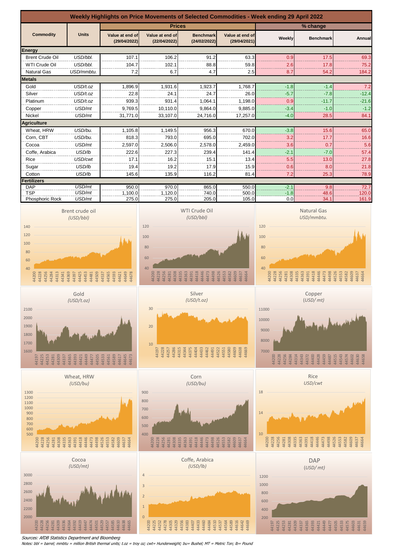

Sources: AfDB Statistics Department and Bloomberg

Notes: bbl = barrel; mmbtu = million British thermal units; t.oz = troy oz; cwt= Hunderweight; bu= Bushel; MT = Metric Ton; lb= Pound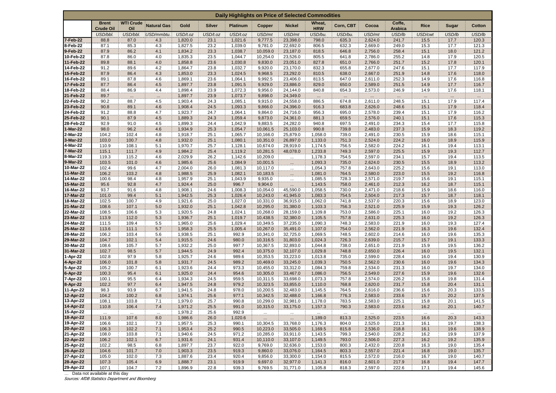| Daily Highlights on Price of Selected Commodities |                                         |                         |                    |                    |               |                    |                      |                         |                      |                |                    |                          |              |              |                |
|---------------------------------------------------|-----------------------------------------|-------------------------|--------------------|--------------------|---------------|--------------------|----------------------|-------------------------|----------------------|----------------|--------------------|--------------------------|--------------|--------------|----------------|
|                                                   | <b>Brent</b><br><b>Crude Oil</b>        | <b>WTI Crude</b><br>Oil | <b>Natural Gas</b> | Gold               | <b>Silver</b> | <b>Platinum</b>    | Copper               | <b>Nickel</b>           | Wheat,<br><b>HRW</b> | Corn, CBT      | Cocoa              | Coffe,<br><b>Arabica</b> | <b>Rice</b>  | <b>Sugar</b> | <b>Cotton</b>  |
|                                                   | USD/bbl.                                | USD/bbl.                | USD/mmbtu.         | USD/t.oz           | USD/t.oz      | USD/t.oz           | USD/mt               | USD/mt                  | USD/bu.              | USD/bu.        | USD/mt             | USD/lb                   | USD/cwt      | USD/lb       | USD/lb         |
| 7-Feb-22                                          | 88.8                                    | 87.0                    | 4.3                | 1,820.0            | 23.1          | 1,021.6            | 9,777.5              | 23,398.0                | 798.0                | 635.3          | 2,624.0            | 241.7                    | 15.5         | 17.7         | 120.3          |
| 8-Feb-22<br>9-Feb-22                              | 87.1<br>87.9                            | 85.3<br>86.2            | 4.3<br>4.1         | 1,827.5<br>1,834.2 | 23.2<br>23.3  | 1,039.0<br>1,038.7 | 9,781.0<br>10.059.0  | 22,692.0<br>23,187.0    | 806.5<br>818.5       | 632.3<br>646.8 | 2,669.0<br>2,756.0 | 249.0<br>258.4           | 15.3<br>15.1 | 17.7<br>18.0 | 121.3<br>121.2 |
| 10-Feb-22                                         | 87.8                                    | 86.0                    | 4.0                | 1,835.3            | 23.5          | 1,044.7            | 10,254.0             | 23,526.0                | 805.5                | 641.8          | 2,786.0            | 255.2                    | 14.8         | 17.9         | 120.5          |
| 11-Feb-22                                         | 89.8                                    | 88.1                    | 4.0                | 1,858.8            | 23.6          | 1,030.8            | 9,830.0              | 23,051.0                | 827.8                | 651.0          | 2,766.0            | 251.7                    | 15.2         | 17.8         | 120.1          |
| 14-Feb-22                                         | 91.2                                    | 89.6                    | 4.2                | 1,864.7            | 23.8          | 1,032.7            | 9,920.0              | 23,170.0                | 832.3                | 655.8          | 2,677.0            | 247.6                    | 15.1         | 17.7         | 117.9          |
| 15-Feb-22                                         | 87.9                                    | 86.4                    | 4.3                | 1,853.0            | 23.3          | 1,024.5            | 9,968.5              | 23,292.0                | 810.5                | 638.0          | 2,667.0            | 251.9                    | 14.8         | 17.6         | 118.0          |
| 16-Feb-22<br>17-Feb-22                            | 89.1<br>87.7                            | 87.8<br>86.4            | 4.6<br>4.5         | 1,869.1<br>1,897.7 | 23.6<br>23.8  | 1,064.1            | 9,992.5<br>9,929.0   | 23,406.0<br>23,886.0    | 813.5<br>829.0       | 647.0<br>650.0 | 2,611.0<br>2,589.0 | 252.3                    | 14.9         | 17.6<br>17.7 | 116.8          |
| 18-Feb-22                                         | 88.4                                    | 86.9                    | 4.4                | 1,898.4            | 23.9          | 1,091.5<br>1,072.3 | 9,956.0              | 24,144.0                | 840.8                | 654.3          | 2,573.0            | 251.5<br>246.9           | 14.9<br>14.9 | 17.6         | 116.7<br>118.1 |
| 21-Feb-22                                         | 89.7                                    |                         | $\cdots$           | 1,897.7            | 23.9          | 1,073.7            | 9,898.0              | 24,349.0                |                      |                |                    |                          |              | $\cdot$      |                |
| 22-Feb-22                                         | 90.2                                    | 88.7                    | 4.5                | 1,903.4            | 24.3          | 1,085.1            | 9,915.0              | 24,558.0                | 886.5                | 674.8          | 2,611.0            | 248.5                    | 15.1         | 17.9         | 117.4          |
| 23-Feb-22                                         | 90.8                                    | 89.1                    | 4.6                | 1,908.4            | 24.5          | 1,093.3            | 9,866.0              | 24,396.0                | 916.3                | 683.8          | 2,626.0            | 248.6                    | 15.1         | 17.9         | 118.4          |
| 24-Feb-22                                         | 91.2                                    | 88.8                    | 4.7                | 1,923.7            | 24.7          | 1,064.1            | 9,864.0              | 24,716.0                | 956.3                | 695.0          | 2,578.0            | 239.4                    | 15.1         | 17.9         | 116.2          |
| 25-Feb-22                                         | 90.1                                    | 87.9                    | 4.5                | 1,889.3            | 24.3          | 1,059.4            | 9,873.0              | 24,361.0                | 881.3                | 659.5          | 2,576.0            | 240.1                    | 15.1         | 17.6         | 115.3          |
| 28-Feb-22<br>1-Mar-22                             | 92.9<br>98.0                            | 91.0<br>96.2            | 4.5<br>4.6         | 1,899.3<br>1,934.9 | 24.4<br>25.3  | 1,042.9<br>1,054.7 | 9,883.5<br>10,061.5  | 24,282.0<br>25,103.0    | 940.8<br>990.8       | 697.5<br>739.8 | 2,491.0<br>2,483.0 | 234.3<br>237.3           | 15.4<br>15.9 | 17.7<br>18.3 | 115.8<br>119.2 |
| 2-Mar-22                                          | 104.2                                   | 102.4                   | 4.8                | 1,918.7            | 25.1          | 1,065.7            | 10,166.0             | 25,879.0                | 1,058.0              | 739.0          | 2,491.0            | 230.5                    | 15.9         | 18.6         | 115.1          |
| 3-Mar-22                                          | 103.0                                   | 100.7                   | 4.8                | 1,932.0            | 25.1          | 1,080.1            | 10,351.0             | 26,897.0                | 1,133.0              | 751.3          | 2,524.0            | 224.2                    | 16.0         | 18.9         | 115.9          |
| 4-Mar-22                                          | 110.9                                   | 108.1                   | 5.1                | 1,970.7            | 25.7          | 1,128.1            | 10,674.0             | 28,919.0                | 1,174.5              | 756.5          | 2,582.0            | 224.2                    | 16.1         | 19.4         | 113.1          |
| 7-Mar-22                                          | 115.1                                   | 111.7                   | 4.9                | 1,984.2            | 25.4          | 1,119.2            | 10,281.5             | 48,078.0                | 1,233.8              | 749.3          | 2,597.0            | 225.5                    | 15.9         | 19.3         | 112.7          |
| 8-Mar-22                                          | 119.3                                   | 115.2                   | 4.6                | 2,029.9            | 26.2          | 1,142.6            | 10,209.0             | $\cdots$                | 1,178.3              | 754.5          | 2,597.0            | 234.1                    | 15.7         | 19.4         | 113.5          |
| 9-Mar-22<br>10-Mar-22                             | 103.5<br>102.4                          | 101.0<br>99.6           | 4.6<br>4.7         | 1,985.6<br>2,004.0 | 25.6<br>26.0  | 1,084.9<br>1,081.3 | 10,001.5<br>10,117.0 | $\cdots$                | 1,093.3<br>1,054.3   | 735.0<br>757.8 | 2,624.0<br>2,643.0 | 230.5<br>225.2           | 15.5<br>15.6 | 18.9<br>19.1 | 113.2<br>113.0 |
| 11-Mar-22                                         | 106.2                                   | 103.2                   | 4.8                | 1,988.5            | 25.9          | 1,082.1            | 10,183.5             | m.                      | 1,081.0              | 764.5          | 2,580.0            | 223.0                    | 15.5         | 19.2         | 116.8          |
| 14-Mar-22                                         | 100.6                                   | 98.4                    | 4.8                | 1,957.9            | 25.1          | 1,043.9            | 9,935.0              | $\cdots$<br>$\dddot{=}$ | 1,085.5              | 728.3          | 2,571.0            | 219.7                    | 15.6         | 19.1         | 115.1          |
| 15-Mar-22                                         | 95.6                                    | 92.8                    | 4.7                | 1,924.4            | 25.0          | 996.7              | 9,904.0              | $\ldots$                | 1,143.5              | 758.0          | 2,461.0            | 212.3                    | 16.2         | 18.7         | 115.1          |
| 16-Mar-22                                         | 93.7                                    | 91.6                    | 4.8                | 1,908.1            | 24.6          | 1,008.3            | 10,054.0             | 45,590.0                | 1,058.5              | 730.0          | 2,471.0            | 218.6                    | 15.9         | 18.6         | 116.0          |
| 17-Mar-22                                         | 101.0                                   | 99.4                    | 5.1                | 1,942.5            | 25.3          | 1,026.4            | 10,243.0             | 41,945.0                | 1,083.3              | 754.5          | 2,504.0            | 217.3                    | 15.7         | 18.7         | 118.1          |
| 18-Mar-22                                         | 102.5                                   | 100.7                   | 4.9                | 1,921.6            | 25.0          | 1,027.0            | 10,331.0             | 36,915.0                | 1,062.0              | 741.8          | 2,537.0            | 220.3                    | 15.6         | 18.9         | 123.0          |
| 21-Mar-22<br>22-Mar-22                            | 108.6<br>108.5                          | 107.1<br>106.6          | 5.0<br>5.3         | 1,932.0<br>1,920.5 | 25.1<br>24.8  | 1,042.8<br>1,024.1 | 10,295.0<br>10,268.0 | 31,380.0<br>28,159.0    | 1,103.3<br>1,109.8   | 756.3<br>753.0 | 2,521.0<br>2,586.0 | 225.9<br>225.1           | 15.9<br>16.0 | 19.3<br>19.2 | 126.2<br>126.3 |
| 23-Mar-22                                         | 113.9                                   | 112.0                   | 5.3                | 1,936.7            | 25.1          | 1,019.7            | 10,438.5             | 32,380.0                | 1,105.5              | 757.8          | 2,631.0            | 225.3                    | 16.0         | 19.2         | 126.3          |
| 24-Mar-22                                         | 111.5                                   | 109.4                   | 5.5                | 1,965.0            | 25.6          | 1,029.4            | 10,349.5             | 37,235.0                | 1,090.3              | 748.3          | 2,583.0            | 221.9                    | 16.0         | 19.3         | 127.4          |
| 25-Mar-22                                         | 113.6                                   | 111.1                   | 5.7                | 1,958.3            | 25.5          | 1,005.4            | 10,267.0             | 35,491.0                | 1,107.0              | 754.0          | 2,562.0            | 221.9                    | 16.3         | 19.6         | 132.4          |
| 28-Mar-22                                         | 106.2                                   | 103.4                   | 5.6                | 1,938.5            | 25.1          | 992.9              | 10,341.0             | 32,725.0                | 1,069.5              | 748.5          | 2,602.0            | 214.6                    | 16.0         | 19.6         | 135.3          |
| 29-Mar-22                                         | 104.7                                   | 102.1                   | 5.4                | 1,915.5            | 24.6          | 980.0              | 10,316.5             | 31,803.0                | 1,024.3              | 726.3          | 2,639.0            | 215.7                    | 15.7         | 19.1         | 133.3          |
| 30-Mar-22<br>31-Mar-22                            | 108.6<br>102.7                          | 105.7<br>98.5           | 5.7<br>5.7         | 1,932.2<br>1,944.5 | 25.0<br>24.9  | 997.7<br>992.4     | 10,367.5<br>10,375.0 | 32,893.0<br>32,107.0    | 1,044.8<br>1,029.8   | 738.0<br>748.8 | 2,651.0<br>2,650.0 | 221.9<br>226.4           | 15.9<br>16.0 | 19.5<br>19.5 | 136.2<br>132.1 |
| 1-Apr-22                                          | 102.8                                   | 97.9                    | 5.8                | 1,925.7            | 24.6          | 989.6              | 10,353.5             | 33,223.0                | 1,013.8              | 735.0          | 2,599.0            | 228.4                    | 16.0         | 19.4         | 130.9          |
| 4-Apr-22                                          | 106.0                                   | 101.8                   | 5.8                | 1,931.7            | 24.5          | 989.2              | 10,469.0             | 33,245.0                | 1,039.3              | 750.5          | 2,562.0            | 230.6                    | 16.0         | 19.6         | 134.3          |
| 5-Apr-22                                          | 105.2                                   | 100.7                   | 6.1                | 1,923.6            | 24.4          | 973.3              | 10,455.0             | 33,312.0                | 1,084.3              | 759.8          | 2,534.0            | 231.3                    | 16.0         | 19.7         | 134.0          |
| 6-Apr-22                                          | 100.3                                   | 95.4                    | 6.1                | 1,925.0            | 24.4          | 954.6              | 10,305.0             | 33,467.0                | 1,086.0              | 756.5          | 2,549.0            | 227.6                    | 15.9         | 19.6         | 132.6          |
| 7-Apr-22                                          | 100.1                                   | 95.5                    | 6.4                | 1,934.3            | 24.5          | 959.5              | 10,311.5             | 33,698.0                | 1,073.3              | 757.8          | 2,574.0            | 226.2                    | 15.8         | 19.8         | 131.4          |
| 8-Apr-22<br>11-Apr-22                             | 102.2<br>98.3                           | 97.7<br>93.9            | 6.4<br>6.7         | 1,947.5<br>1,941.5 | 24.8<br>24.8  | 979.2<br>978.0     | 10,323.5<br>10,200.5 | 33,855.0<br>32,483.0    | 1,110.0<br>1,145.5   | 768.8<br>764.5 | 2,620.0<br>2,616.0 | 231.7<br>236.6           | 15.8<br>15.6 | 20.4<br>20.3 | 131.1<br>133.5 |
| 12-Apr-22                                         | 104.2                                   | 100.2                   | 6.8                | 1,974.1            | 25.6          | 977.1              | 10,342.5             | 32,488.0                | 1,166.8              | 776.3          | 2,583.0            | 233.6                    | 15.7         | 20.2         | 137.5          |
| 13-Apr-22                                         | 108.1                                   | 103.8                   | 7.1                | 1,979.0            | 25.7          | 990.8              | 10,299.0             | 32,981.0                | 1,178.0              | 783.5          | 2,583.0            | 225.1                    | 15.8         | 20.1         | 141.5          |
| 14-Apr-22                                         | 110.8                                   | 106.4                   | 7.4                | 1,971.2            | 25.5          | 991.0              | 10,315.0             | 33,175.0                | 1,157.3              | 790.3          | 2,583.0            | 223.6                    | 16.2         | 20.1         | 140.7          |
| 15-Apr-22                                         | 1221                                    | $\overline{\mathbf{u}}$ | $\cdots$           | 1,978.2            | 25.6          | 992.9              | للمنتقذ              | um.                     | m.                   | $\cdots$       | m.                 |                          | $\cdots$     | $\mathbf{r}$ | żн.            |
| 18-Apr-22                                         | 111.9                                   | 107.6                   | 8.0                | 1,986.6            | 26.0          | 1,020.6            | $\mathbb{R}^2$       | $\cdots$                | 1,189.0              | 813.3          | 2,525.0            | 223.5                    | 16.6         | 20.3         | 143.3          |
| 19-Apr-22<br>20-Apr-22                            | 106.6<br>106.3                          | 102.1<br>102.2          | 7.3<br>7.1         | 1,957.5<br>1,953.4 | 25.3<br>25.2  | 990.1<br>990.5     | 10,304.5<br>10,223.0 | 33,768.0<br>33,505.0    | 1,176.3<br>1,169.5   | 804.0<br>815.8 | 2,525.0<br>2,536.0 | 221.3<br>218.8           | 16.1<br>16.1 | 19.7<br>19.6 | 138.3<br>138.9 |
| 21-Apr-22                                         | 108.0                                   | 103.8                   | 7.1                | 1,940.6            | 24.5          | 971.2              | 10,285.0             | 33,911.0                | 1,143.5              | 799.3          | 2,540.0            | 228.2                    | 16.2         | 19.9         | 137.9          |
| 22-Apr-22                                         | 106.2                                   | 102.1                   | 6.7                | 1,931.6            | 24.1          | 931.4              | 10,110.0             | 33,107.0                | 1,149.5              | 793.0          | 2,506.0            | 227.3                    | 16.2         | 19.2         | 135.9          |
| 25-Apr-22                                         | 102.2                                   | 98.5                    | 6.8                | 1,897.7            | 23.7          | 922.0              | 9,769.0              | 32,636.0                | 1,153.0              | 800.3          | 2,432.0            | 220.8                    | 16.3         | 19.0         | 135.4          |
| 26-Apr-22                                         | 104.6                                   | 101.7                   | 7.0                | 1,903.3            | 23.5          | 919.3              | 9,860.0              | 33,076.0                | 1,164.5              | 803.3          | 2,557.0            | 221.4                    | 16.8         | 19.0         | 135.7          |
| 27-Apr-22                                         | 105.0                                   | 102.0                   | 7.3                | 1,887.6            | 23.4          | 920.4              | 9,856.0              | 33,300.0                | 1,154.0              | 815.5          | 2,572.0            | 216.0                    | 16.7         | 19.0         | 140.7          |
| 28-Apr-22                                         | 107.3                                   | 105.4                   | 6.9                | 1,888.7            | 23.1          | 919.9              | 9,697.0              | 32,977.0                | 1,141.3              | 816.0          | 2,601.0            | 217.9                    | 16.8         | 19.4         | 147.7          |
| 29-Apr-22                                         | 107.1<br>Data not available at this day | 104.7                   | 7.2                | 1,896.9            | 22.8          | 939.3              | 9,769.5              | 31,771.0                | 1,105.8              | 818.3          | 2,597.0            | 222.6                    | 17.1         | 19.4         | 145.6          |
| Sources: AfDB Statistics Department and Bloomberg |                                         |                         |                    |                    |               |                    |                      |                         |                      |                |                    |                          |              |              |                |